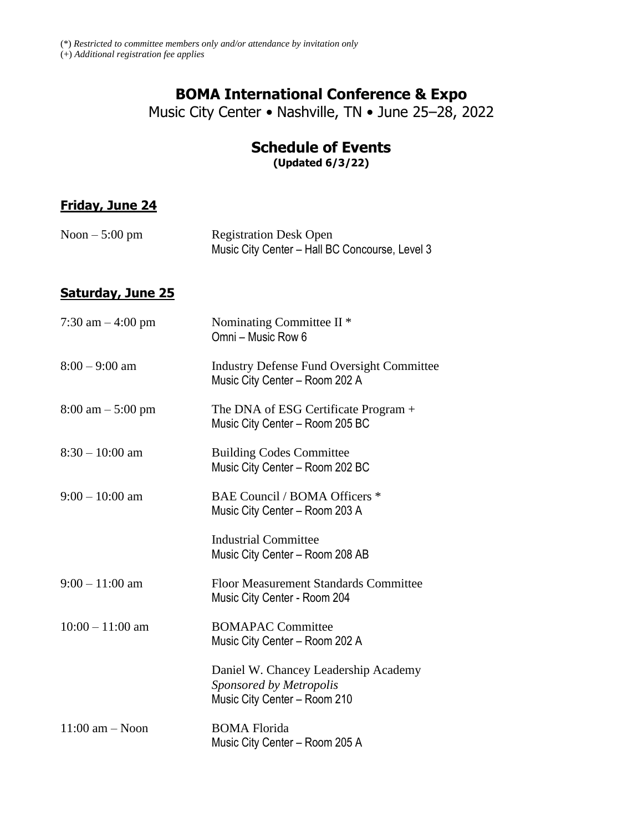## **BOMA International Conference & Expo**

Music City Center • Nashville, TN • June 25–28, 2022

# **Schedule of Events**

**(Updated 6/3/22)**

#### **Friday, June 24**

| Noon $-5:00$ pm | <b>Registration Desk Open</b>                  |
|-----------------|------------------------------------------------|
|                 | Music City Center - Hall BC Concourse, Level 3 |

### **Saturday, June 25**

| 7:30 am $-$ 4:00 pm                 | Nominating Committee II <sup>*</sup><br>Omni - Music Row 6                                      |
|-------------------------------------|-------------------------------------------------------------------------------------------------|
| $8:00 - 9:00$ am                    | <b>Industry Defense Fund Oversight Committee</b><br>Music City Center - Room 202 A              |
| $8:00 \text{ am} - 5:00 \text{ pm}$ | The DNA of ESG Certificate Program +<br>Music City Center - Room 205 BC                         |
| $8:30 - 10:00$ am                   | <b>Building Codes Committee</b><br>Music City Center - Room 202 BC                              |
| $9:00 - 10:00$ am                   | BAE Council / BOMA Officers *<br>Music City Center - Room 203 A                                 |
|                                     | <b>Industrial Committee</b><br>Music City Center - Room 208 AB                                  |
| $9:00 - 11:00$ am                   | Floor Measurement Standards Committee<br>Music City Center - Room 204                           |
| $10:00 - 11:00$ am                  | <b>BOMAPAC Committee</b><br>Music City Center - Room 202 A                                      |
|                                     | Daniel W. Chancey Leadership Academy<br>Sponsored by Metropolis<br>Music City Center - Room 210 |
| $11:00$ am $-$ Noon                 | <b>BOMA</b> Florida<br>Music City Center - Room 205 A                                           |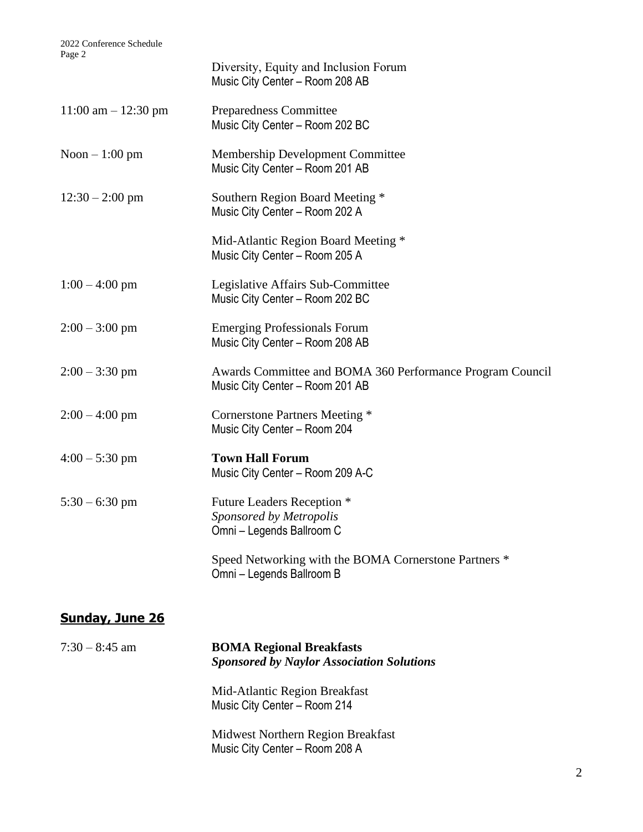| $4 \mu \leq C$          | Diversity, Equity and Inclusion Forum<br>Music City Center - Room 208 AB                     |
|-------------------------|----------------------------------------------------------------------------------------------|
| $11:00$ am $- 12:30$ pm | Preparedness Committee<br>Music City Center - Room 202 BC                                    |
| Noon $-1:00$ pm         | Membership Development Committee<br>Music City Center - Room 201 AB                          |
| $12:30 - 2:00$ pm       | Southern Region Board Meeting *<br>Music City Center - Room 202 A                            |
|                         | Mid-Atlantic Region Board Meeting *<br>Music City Center - Room 205 A                        |
| $1:00 - 4:00$ pm        | Legislative Affairs Sub-Committee<br>Music City Center - Room 202 BC                         |
| $2:00 - 3:00$ pm        | <b>Emerging Professionals Forum</b><br>Music City Center - Room 208 AB                       |
| $2:00 - 3:30$ pm        | Awards Committee and BOMA 360 Performance Program Council<br>Music City Center - Room 201 AB |
| $2:00 - 4:00$ pm        | Cornerstone Partners Meeting *<br>Music City Center - Room 204                               |
| $4:00 - 5:30$ pm        | <b>Town Hall Forum</b><br>Music City Center - Room 209 A-C                                   |
| $5:30 - 6:30$ pm        | Future Leaders Reception *<br>Sponsored by Metropolis<br>Omni - Legends Ballroom C           |
|                         | Speed Networking with the BOMA Cornerstone Partners *<br>Omni - Legends Ballroom B           |

## **Sunday, June 26**

| $7:30 - 8:45$ am | <b>BOMA Regional Breakfasts</b><br><b>Sponsored by Naylor Association Solutions</b> |
|------------------|-------------------------------------------------------------------------------------|
|                  | Mid-Atlantic Region Breakfast<br>Music City Center - Room 214                       |
|                  | Midwest Northern Region Breakfast<br>Music City Center - Room 208 A                 |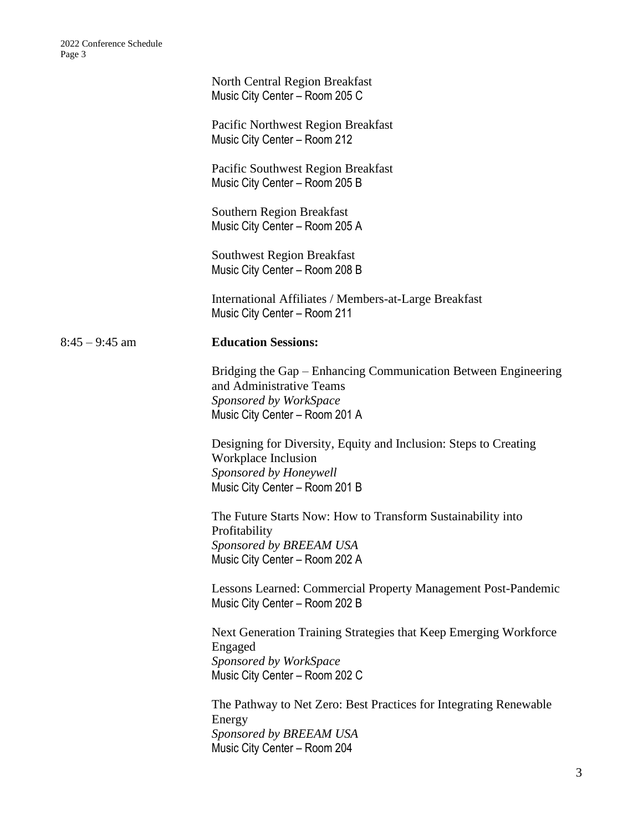|                  | North Central Region Breakfast<br>Music City Center - Room 205 C                                                                                       |
|------------------|--------------------------------------------------------------------------------------------------------------------------------------------------------|
|                  | Pacific Northwest Region Breakfast<br>Music City Center - Room 212                                                                                     |
|                  | Pacific Southwest Region Breakfast<br>Music City Center - Room 205 B                                                                                   |
|                  | <b>Southern Region Breakfast</b><br>Music City Center - Room 205 A                                                                                     |
|                  | <b>Southwest Region Breakfast</b><br>Music City Center - Room 208 B                                                                                    |
|                  | International Affiliates / Members-at-Large Breakfast<br>Music City Center - Room 211                                                                  |
| $8:45 - 9:45$ am | <b>Education Sessions:</b>                                                                                                                             |
|                  | Bridging the Gap – Enhancing Communication Between Engineering<br>and Administrative Teams<br>Sponsored by WorkSpace<br>Music City Center - Room 201 A |
|                  | Designing for Diversity, Equity and Inclusion: Steps to Creating<br>Workplace Inclusion<br>Sponsored by Honeywell<br>Music City Center - Room 201 B    |
|                  | The Future Starts Now: How to Transform Sustainability into<br>Profitability<br>Sponsored by BREEAM USA<br>Music City Center - Room 202 A              |
|                  | Lessons Learned: Commercial Property Management Post-Pandemic<br>Music City Center - Room 202 B                                                        |
|                  | Next Generation Training Strategies that Keep Emerging Workforce<br>Engaged<br>Sponsored by WorkSpace<br>Music City Center - Room 202 C                |
|                  | The Pathway to Net Zero: Best Practices for Integrating Renewable<br>Energy<br>Sponsored by BREEAM USA<br>Music City Center - Room 204                 |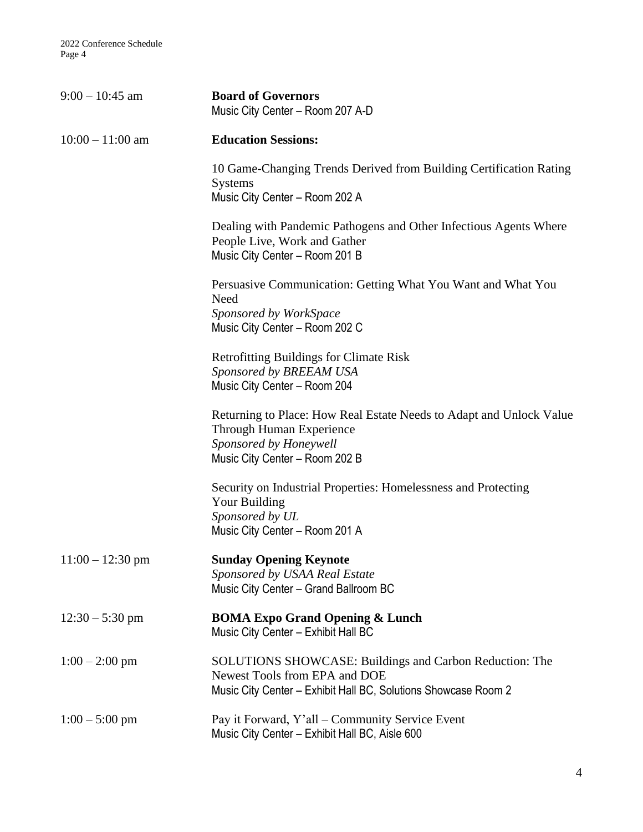| $9:00 - 10:45$ am  | <b>Board of Governors</b><br>Music City Center - Room 207 A-D                                                                                                     |
|--------------------|-------------------------------------------------------------------------------------------------------------------------------------------------------------------|
| $10:00 - 11:00$ am | <b>Education Sessions:</b>                                                                                                                                        |
|                    | 10 Game-Changing Trends Derived from Building Certification Rating<br><b>Systems</b><br>Music City Center - Room 202 A                                            |
|                    | Dealing with Pandemic Pathogens and Other Infectious Agents Where<br>People Live, Work and Gather<br>Music City Center - Room 201 B                               |
|                    | Persuasive Communication: Getting What You Want and What You<br>Need<br>Sponsored by WorkSpace<br>Music City Center - Room 202 C                                  |
|                    | <b>Retrofitting Buildings for Climate Risk</b><br>Sponsored by BREEAM USA<br>Music City Center - Room 204                                                         |
|                    | Returning to Place: How Real Estate Needs to Adapt and Unlock Value<br>Through Human Experience<br>Sponsored by Honeywell<br>Music City Center - Room 202 B       |
|                    | Security on Industrial Properties: Homelessness and Protecting<br>Your Building<br>Sponsored by UL<br>Music City Center - Room 201 A                              |
| $11:00 - 12:30$ pm | <b>Sunday Opening Keynote</b><br>Sponsored by USAA Real Estate<br>Music City Center - Grand Ballroom BC                                                           |
| $12:30 - 5:30$ pm  | <b>BOMA Expo Grand Opening &amp; Lunch</b><br>Music City Center - Exhibit Hall BC                                                                                 |
| $1:00 - 2:00$ pm   | <b>SOLUTIONS SHOWCASE: Buildings and Carbon Reduction: The</b><br>Newest Tools from EPA and DOE<br>Music City Center - Exhibit Hall BC, Solutions Showcase Room 2 |
| $1:00 - 5:00$ pm   | Pay it Forward, Y'all - Community Service Event<br>Music City Center - Exhibit Hall BC, Aisle 600                                                                 |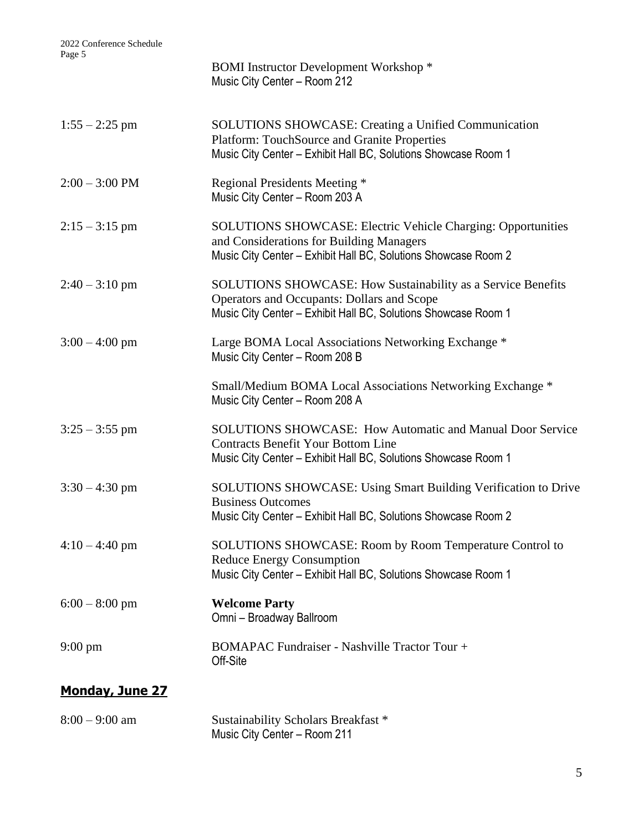| agu J                    | <b>BOMI</b> Instructor Development Workshop *<br>Music City Center - Room 212                                                                                                     |
|--------------------------|-----------------------------------------------------------------------------------------------------------------------------------------------------------------------------------|
| $1:55 - 2:25$ pm         | <b>SOLUTIONS SHOWCASE: Creating a Unified Communication</b><br>Platform: TouchSource and Granite Properties<br>Music City Center - Exhibit Hall BC, Solutions Showcase Room 1     |
| $2:00 - 3:00 \text{ PM}$ | Regional Presidents Meeting *<br>Music City Center - Room 203 A                                                                                                                   |
| $2:15 - 3:15$ pm         | <b>SOLUTIONS SHOWCASE: Electric Vehicle Charging: Opportunities</b><br>and Considerations for Building Managers<br>Music City Center - Exhibit Hall BC, Solutions Showcase Room 2 |
| $2:40 - 3:10$ pm         | SOLUTIONS SHOWCASE: How Sustainability as a Service Benefits<br>Operators and Occupants: Dollars and Scope<br>Music City Center - Exhibit Hall BC, Solutions Showcase Room 1      |
| $3:00 - 4:00$ pm         | Large BOMA Local Associations Networking Exchange *<br>Music City Center - Room 208 B                                                                                             |
|                          | Small/Medium BOMA Local Associations Networking Exchange *<br>Music City Center - Room 208 A                                                                                      |
| $3:25 - 3:55$ pm         | <b>SOLUTIONS SHOWCASE: How Automatic and Manual Door Service</b><br><b>Contracts Benefit Your Bottom Line</b><br>Music City Center - Exhibit Hall BC, Solutions Showcase Room 1   |
| $3:30 - 4:30$ pm         | <b>SOLUTIONS SHOWCASE: Using Smart Building Verification to Drive</b><br><b>Business Outcomes</b><br>Music City Center - Exhibit Hall BC, Solutions Showcase Room 2               |
| $4:10 - 4:40$ pm         | SOLUTIONS SHOWCASE: Room by Room Temperature Control to<br><b>Reduce Energy Consumption</b><br>Music City Center - Exhibit Hall BC, Solutions Showcase Room 1                     |
| $6:00 - 8:00$ pm         | <b>Welcome Party</b><br>Omni - Broadway Ballroom                                                                                                                                  |
| $9:00 \text{ pm}$        | <b>BOMAPAC Fundraiser - Nashville Tractor Tour +</b><br>Off-Site                                                                                                                  |
| <b>Monday, June 27</b>   |                                                                                                                                                                                   |
|                          |                                                                                                                                                                                   |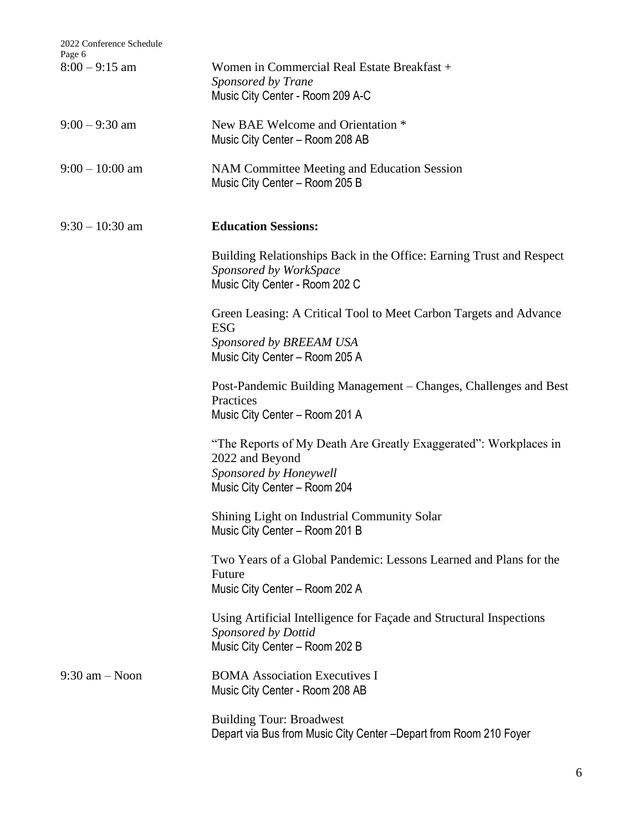| 2022 Conference Schedule<br>Page 6 |                                                                                                                                               |
|------------------------------------|-----------------------------------------------------------------------------------------------------------------------------------------------|
| $8:00 - 9:15$ am                   | Women in Commercial Real Estate Breakfast +<br>Sponsored by Trane<br>Music City Center - Room 209 A-C                                         |
| $9:00 - 9:30$ am                   | New BAE Welcome and Orientation *<br>Music City Center - Room 208 AB                                                                          |
| $9:00 - 10:00$ am                  | NAM Committee Meeting and Education Session<br>Music City Center - Room 205 B                                                                 |
| $9:30 - 10:30$ am                  | <b>Education Sessions:</b>                                                                                                                    |
|                                    | Building Relationships Back in the Office: Earning Trust and Respect<br>Sponsored by WorkSpace<br>Music City Center - Room 202 C              |
|                                    | Green Leasing: A Critical Tool to Meet Carbon Targets and Advance<br><b>ESG</b><br>Sponsored by BREEAM USA<br>Music City Center - Room 205 A  |
|                                    | Post-Pandemic Building Management – Changes, Challenges and Best<br>Practices<br>Music City Center - Room 201 A                               |
|                                    | "The Reports of My Death Are Greatly Exaggerated": Workplaces in<br>2022 and Beyond<br>Sponsored by Honeywell<br>Music City Center - Room 204 |
|                                    | Shining Light on Industrial Community Solar<br>Music City Center - Room 201 B                                                                 |
|                                    | Two Years of a Global Pandemic: Lessons Learned and Plans for the<br>Future<br>Music City Center - Room 202 A                                 |
|                                    | Using Artificial Intelligence for Façade and Structural Inspections<br>Sponsored by Dottid<br>Music City Center - Room 202 B                  |
| $9:30$ am $-$ Noon                 | <b>BOMA</b> Association Executives I<br>Music City Center - Room 208 AB                                                                       |
|                                    | <b>Building Tour: Broadwest</b><br>Depart via Bus from Music City Center - Depart from Room 210 Foyer                                         |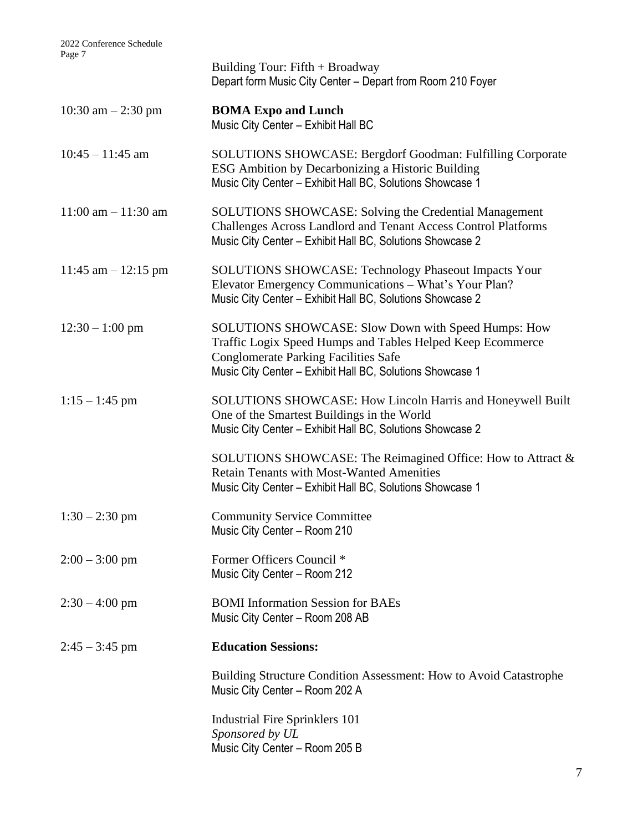|                        | Building Tour: $Fifth + Broadway$<br>Depart form Music City Center - Depart from Room 210 Foyer                                                                                                                               |
|------------------------|-------------------------------------------------------------------------------------------------------------------------------------------------------------------------------------------------------------------------------|
| 10:30 am $-2:30$ pm    | <b>BOMA Expo and Lunch</b><br>Music City Center - Exhibit Hall BC                                                                                                                                                             |
| $10:45 - 11:45$ am     | <b>SOLUTIONS SHOWCASE: Bergdorf Goodman: Fulfilling Corporate</b><br>ESG Ambition by Decarbonizing a Historic Building<br>Music City Center - Exhibit Hall BC, Solutions Showcase 1                                           |
| $11:00$ am $-11:30$ am | <b>SOLUTIONS SHOWCASE: Solving the Credential Management</b><br>Challenges Across Landlord and Tenant Access Control Platforms<br>Music City Center - Exhibit Hall BC, Solutions Showcase 2                                   |
| 11:45 am $-$ 12:15 pm  | <b>SOLUTIONS SHOWCASE: Technology Phaseout Impacts Your</b><br>Elevator Emergency Communications - What's Your Plan?<br>Music City Center - Exhibit Hall BC, Solutions Showcase 2                                             |
| $12:30 - 1:00$ pm      | SOLUTIONS SHOWCASE: Slow Down with Speed Humps: How<br>Traffic Logix Speed Humps and Tables Helped Keep Ecommerce<br><b>Conglomerate Parking Facilities Safe</b><br>Music City Center - Exhibit Hall BC, Solutions Showcase 1 |
| $1:15 - 1:45$ pm       | SOLUTIONS SHOWCASE: How Lincoln Harris and Honeywell Built<br>One of the Smartest Buildings in the World<br>Music City Center - Exhibit Hall BC, Solutions Showcase 2                                                         |
|                        | SOLUTIONS SHOWCASE: The Reimagined Office: How to Attract &<br><b>Retain Tenants with Most-Wanted Amenities</b><br>Music City Center - Exhibit Hall BC, Solutions Showcase 1                                                  |
| $1:30 - 2:30$ pm       | <b>Community Service Committee</b><br>Music City Center - Room 210                                                                                                                                                            |
| $2:00 - 3:00$ pm       | Former Officers Council *<br>Music City Center - Room 212                                                                                                                                                                     |
| $2:30 - 4:00$ pm       | <b>BOMI</b> Information Session for BAEs<br>Music City Center - Room 208 AB                                                                                                                                                   |
| $2:45 - 3:45$ pm       | <b>Education Sessions:</b>                                                                                                                                                                                                    |
|                        | Building Structure Condition Assessment: How to Avoid Catastrophe<br>Music City Center - Room 202 A                                                                                                                           |
|                        | Industrial Fire Sprinklers 101<br>Sponsored by UL<br>Music City Center - Room 205 B                                                                                                                                           |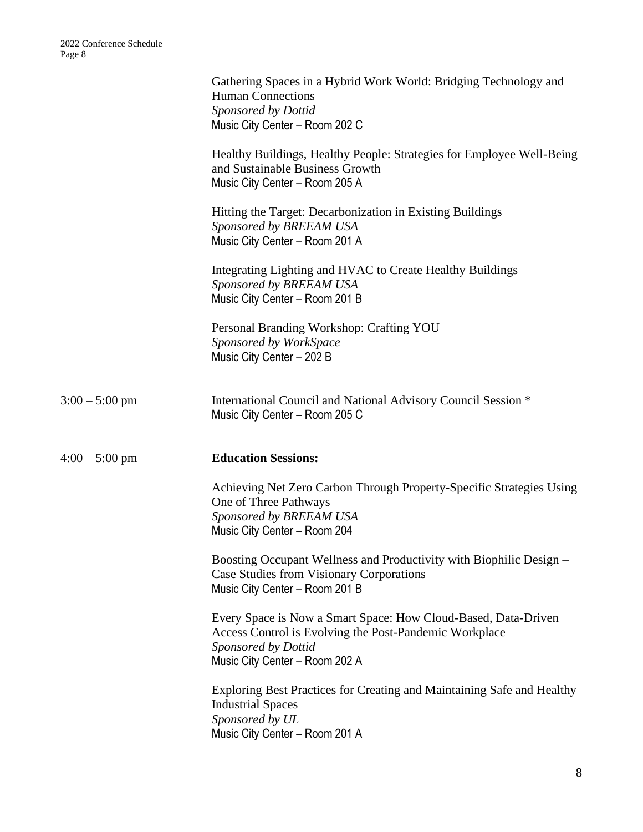|                  | Gathering Spaces in a Hybrid Work World: Bridging Technology and<br><b>Human Connections</b><br>Sponsored by Dottid<br>Music City Center - Room 202 C                             |
|------------------|-----------------------------------------------------------------------------------------------------------------------------------------------------------------------------------|
|                  | Healthy Buildings, Healthy People: Strategies for Employee Well-Being<br>and Sustainable Business Growth<br>Music City Center - Room 205 A                                        |
|                  | Hitting the Target: Decarbonization in Existing Buildings<br>Sponsored by BREEAM USA<br>Music City Center - Room 201 A                                                            |
|                  | Integrating Lighting and HVAC to Create Healthy Buildings<br>Sponsored by BREEAM USA<br>Music City Center - Room 201 B                                                            |
|                  | Personal Branding Workshop: Crafting YOU<br>Sponsored by WorkSpace<br>Music City Center - 202 B                                                                                   |
| $3:00 - 5:00$ pm | International Council and National Advisory Council Session *<br>Music City Center - Room 205 C                                                                                   |
| $4:00 - 5:00$ pm | <b>Education Sessions:</b>                                                                                                                                                        |
|                  | Achieving Net Zero Carbon Through Property-Specific Strategies Using<br>One of Three Pathways<br>Sponsored by BREEAM USA<br>Music City Center - Room 204                          |
|                  | Boosting Occupant Wellness and Productivity with Biophilic Design –<br>Case Studies from Visionary Corporations<br>Music City Center - Room 201 B                                 |
|                  | Every Space is Now a Smart Space: How Cloud-Based, Data-Driven<br>Access Control is Evolving the Post-Pandemic Workplace<br>Sponsored by Dottid<br>Music City Center - Room 202 A |
|                  | Exploring Best Practices for Creating and Maintaining Safe and Healthy<br><b>Industrial Spaces</b><br>Sponsored by UL<br>Music City Center - Room 201 A                           |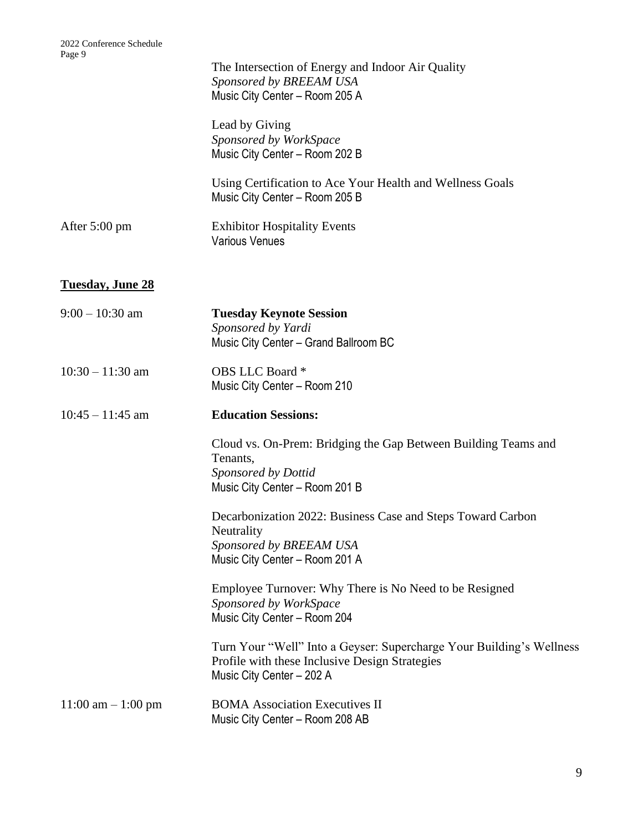|                         | The Intersection of Energy and Indoor Air Quality<br>Sponsored by BREEAM USA<br>Music City Center - Room 205 A                         |
|-------------------------|----------------------------------------------------------------------------------------------------------------------------------------|
|                         | Lead by Giving<br>Sponsored by WorkSpace<br>Music City Center - Room 202 B                                                             |
|                         | Using Certification to Ace Your Health and Wellness Goals<br>Music City Center - Room 205 B                                            |
| After 5:00 pm           | <b>Exhibitor Hospitality Events</b><br><b>Various Venues</b>                                                                           |
| <b>Tuesday, June 28</b> |                                                                                                                                        |
| $9:00 - 10:30$ am       | <b>Tuesday Keynote Session</b><br>Sponsored by Yardi<br>Music City Center - Grand Ballroom BC                                          |
| $10:30 - 11:30$ am      | OBS LLC Board *<br>Music City Center - Room 210                                                                                        |
| $10:45 - 11:45$ am      | <b>Education Sessions:</b>                                                                                                             |
|                         | Cloud vs. On-Prem: Bridging the Gap Between Building Teams and<br>Tenants,<br>Sponsored by Dottid<br>Music City Center - Room 201 B    |
|                         | Decarbonization 2022: Business Case and Steps Toward Carbon<br>Neutrality<br>Sponsored by BREEAM USA<br>Music City Center - Room 201 A |
|                         | Employee Turnover: Why There is No Need to be Resigned<br>Sponsored by WorkSpace<br>Music City Center - Room 204                       |
|                         | Turn Your "Well" Into a Geyser: Supercharge Your Building's Wellness<br>Profile with these Inclusive Design Strategies                 |
|                         | Music City Center - 202 A                                                                                                              |
| $11:00$ am $-1:00$ pm   | <b>BOMA</b> Association Executives II<br>Music City Center - Room 208 AB                                                               |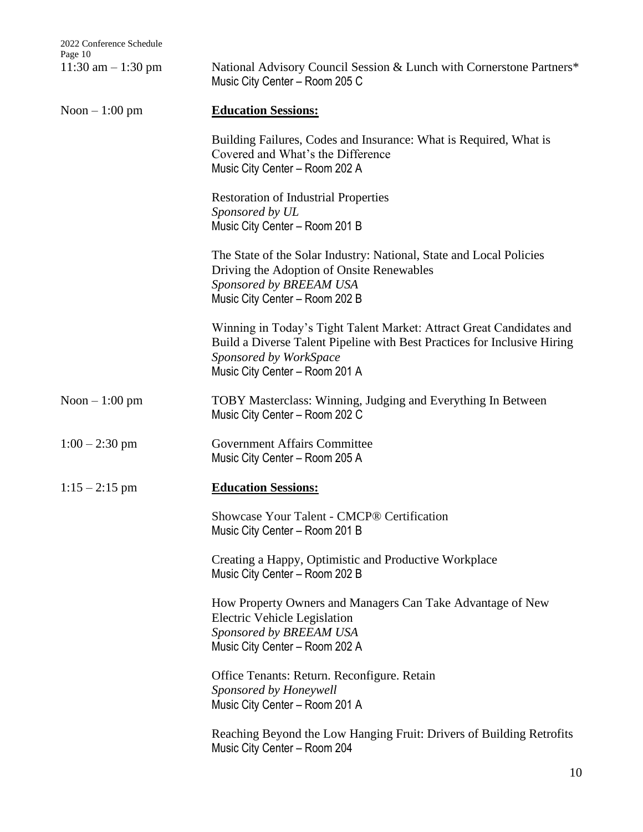| 11:30 am $-1:30$ pm | National Advisory Council Session & Lunch with Cornerstone Partners*<br>Music City Center - Room 205 C                                                                                                       |
|---------------------|--------------------------------------------------------------------------------------------------------------------------------------------------------------------------------------------------------------|
| Noon $-1:00$ pm     | <b>Education Sessions:</b>                                                                                                                                                                                   |
|                     | Building Failures, Codes and Insurance: What is Required, What is<br>Covered and What's the Difference<br>Music City Center - Room 202 A                                                                     |
|                     | <b>Restoration of Industrial Properties</b><br>Sponsored by UL<br>Music City Center - Room 201 B                                                                                                             |
|                     | The State of the Solar Industry: National, State and Local Policies<br>Driving the Adoption of Onsite Renewables<br>Sponsored by BREEAM USA<br>Music City Center - Room 202 B                                |
|                     | Winning in Today's Tight Talent Market: Attract Great Candidates and<br>Build a Diverse Talent Pipeline with Best Practices for Inclusive Hiring<br>Sponsored by WorkSpace<br>Music City Center - Room 201 A |
| Noon $-1:00$ pm     | TOBY Masterclass: Winning, Judging and Everything In Between<br>Music City Center - Room 202 C                                                                                                               |
| $1:00 - 2:30$ pm    | <b>Government Affairs Committee</b><br>Music City Center - Room 205 A                                                                                                                                        |
| $1:15 - 2:15$ pm    | <b>Education Sessions:</b>                                                                                                                                                                                   |
|                     | Showcase Your Talent - CMCP® Certification<br>Music City Center – Room 201 B                                                                                                                                 |
|                     | Creating a Happy, Optimistic and Productive Workplace<br>Music City Center - Room 202 B                                                                                                                      |
|                     | How Property Owners and Managers Can Take Advantage of New<br>Electric Vehicle Legislation<br>Sponsored by BREEAM USA<br>Music City Center - Room 202 A                                                      |
|                     | Office Tenants: Return. Reconfigure. Retain<br>Sponsored by Honeywell<br>Music City Center - Room 201 A                                                                                                      |
|                     | Reaching Beyond the Low Hanging Fruit: Drivers of Building Retrofits<br>Music City Center - Room 204                                                                                                         |